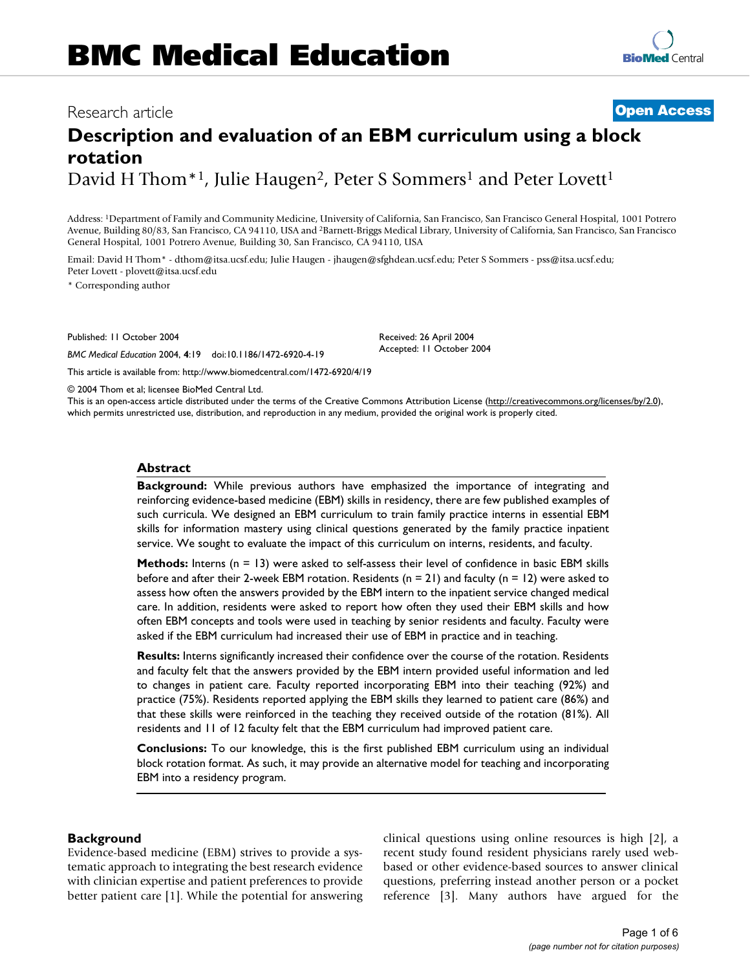## Research article **[Open Access](http://www.biomedcentral.com/info/about/charter/)**

# **Description and evaluation of an EBM curriculum using a block rotation** David H Thom<sup>\*1</sup>, Julie Haugen<sup>2</sup>, Peter S Sommers<sup>1</sup> and Peter Lovett<sup>1</sup>

Address: 1Department of Family and Community Medicine, University of California, San Francisco, San Francisco General Hospital, 1001 Potrero Avenue, Building 80/83, San Francisco, CA 94110, USA and 2Barnett-Briggs Medical Library, University of California, San Francisco, San Francisco General Hospital, 1001 Potrero Avenue, Building 30, San Francisco, CA 94110, USA

Email: David H Thom\* - dthom@itsa.ucsf.edu; Julie Haugen - jhaugen@sfghdean.ucsf.edu; Peter S Sommers - pss@itsa.ucsf.edu; Peter Lovett - plovett@itsa.ucsf.edu

\* Corresponding author

Published: 11 October 2004

*BMC Medical Education* 2004, **4**:19 doi:10.1186/1472-6920-4-19

[This article is available from: http://www.biomedcentral.com/1472-6920/4/19](http://www.biomedcentral.com/1472-6920/4/19)

© 2004 Thom et al; licensee BioMed Central Ltd.

This is an open-access article distributed under the terms of the Creative Commons Attribution License (<http://creativecommons.org/licenses/by/2.0>), which permits unrestricted use, distribution, and reproduction in any medium, provided the original work is properly cited.

Received: 26 April 2004 Accepted: 11 October 2004

#### **Abstract**

**Background:** While previous authors have emphasized the importance of integrating and reinforcing evidence-based medicine (EBM) skills in residency, there are few published examples of such curricula. We designed an EBM curriculum to train family practice interns in essential EBM skills for information mastery using clinical questions generated by the family practice inpatient service. We sought to evaluate the impact of this curriculum on interns, residents, and faculty.

**Methods:** Interns (n = 13) were asked to self-assess their level of confidence in basic EBM skills before and after their 2-week EBM rotation. Residents ( $n = 21$ ) and faculty ( $n = 12$ ) were asked to assess how often the answers provided by the EBM intern to the inpatient service changed medical care. In addition, residents were asked to report how often they used their EBM skills and how often EBM concepts and tools were used in teaching by senior residents and faculty. Faculty were asked if the EBM curriculum had increased their use of EBM in practice and in teaching.

**Results:** Interns significantly increased their confidence over the course of the rotation. Residents and faculty felt that the answers provided by the EBM intern provided useful information and led to changes in patient care. Faculty reported incorporating EBM into their teaching (92%) and practice (75%). Residents reported applying the EBM skills they learned to patient care (86%) and that these skills were reinforced in the teaching they received outside of the rotation (81%). All residents and 11 of 12 faculty felt that the EBM curriculum had improved patient care.

**Conclusions:** To our knowledge, this is the first published EBM curriculum using an individual block rotation format. As such, it may provide an alternative model for teaching and incorporating EBM into a residency program.

#### **Background**

Evidence-based medicine (EBM) strives to provide a systematic approach to integrating the best research evidence with clinician expertise and patient preferences to provide better patient care [1]. While the potential for answering clinical questions using online resources is high [2], a recent study found resident physicians rarely used webbased or other evidence-based sources to answer clinical questions, preferring instead another person or a pocket reference [3]. Many authors have argued for the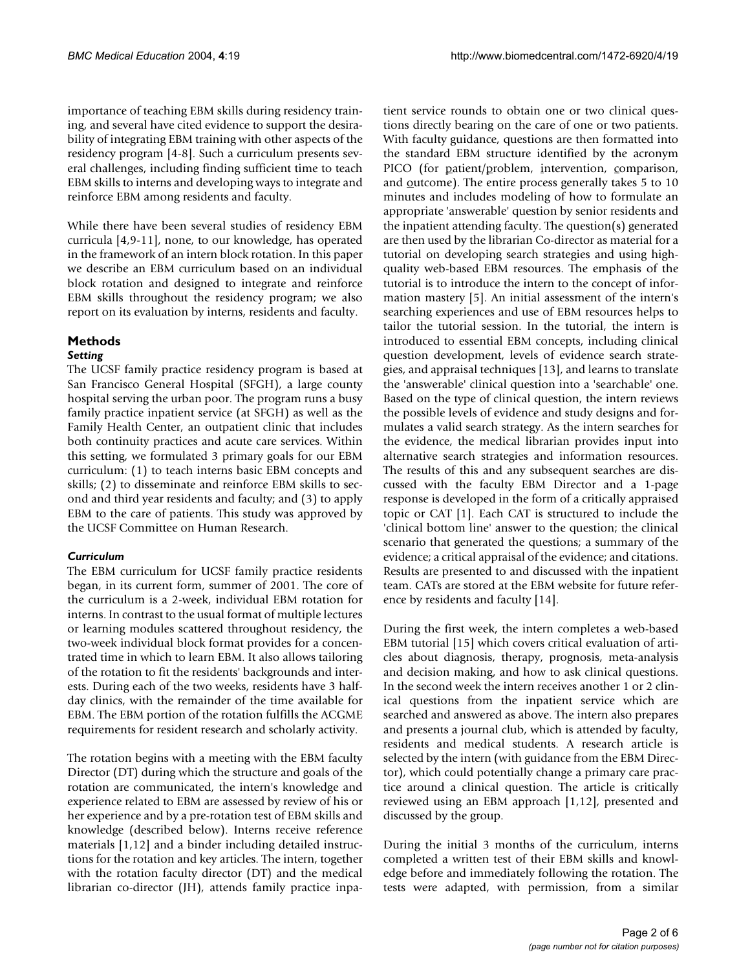importance of teaching EBM skills during residency training, and several have cited evidence to support the desirability of integrating EBM training with other aspects of the residency program [4-8]. Such a curriculum presents several challenges, including finding sufficient time to teach EBM skills to interns and developing ways to integrate and reinforce EBM among residents and faculty.

While there have been several studies of residency EBM curricula [4,9-11], none, to our knowledge, has operated in the framework of an intern block rotation. In this paper we describe an EBM curriculum based on an individual block rotation and designed to integrate and reinforce EBM skills throughout the residency program; we also report on its evaluation by interns, residents and faculty.

## **Methods**

## *Setting*

The UCSF family practice residency program is based at San Francisco General Hospital (SFGH), a large county hospital serving the urban poor. The program runs a busy family practice inpatient service (at SFGH) as well as the Family Health Center, an outpatient clinic that includes both continuity practices and acute care services. Within this setting, we formulated 3 primary goals for our EBM curriculum: (1) to teach interns basic EBM concepts and skills; (2) to disseminate and reinforce EBM skills to second and third year residents and faculty; and (3) to apply EBM to the care of patients. This study was approved by the UCSF Committee on Human Research.

## *Curriculum*

The EBM curriculum for UCSF family practice residents began, in its current form, summer of 2001. The core of the curriculum is a 2-week, individual EBM rotation for interns. In contrast to the usual format of multiple lectures or learning modules scattered throughout residency, the two-week individual block format provides for a concentrated time in which to learn EBM. It also allows tailoring of the rotation to fit the residents' backgrounds and interests. During each of the two weeks, residents have 3 halfday clinics, with the remainder of the time available for EBM. The EBM portion of the rotation fulfills the ACGME requirements for resident research and scholarly activity.

The rotation begins with a meeting with the EBM faculty Director (DT) during which the structure and goals of the rotation are communicated, the intern's knowledge and experience related to EBM are assessed by review of his or her experience and by a pre-rotation test of EBM skills and knowledge (described below). Interns receive reference materials [1,12] and a binder including detailed instructions for the rotation and key articles. The intern, together with the rotation faculty director (DT) and the medical librarian co-director (JH), attends family practice inpatient service rounds to obtain one or two clinical questions directly bearing on the care of one or two patients. With faculty guidance, questions are then formatted into the standard EBM structure identified by the acronym PICO (for patient/problem, intervention, comparison, and <u>o</u>utcome). The entire process generally takes 5 to 10 minutes and includes modeling of how to formulate an appropriate 'answerable' question by senior residents and the inpatient attending faculty. The question(s) generated are then used by the librarian Co-director as material for a tutorial on developing search strategies and using highquality web-based EBM resources. The emphasis of the tutorial is to introduce the intern to the concept of information mastery [5]. An initial assessment of the intern's searching experiences and use of EBM resources helps to tailor the tutorial session. In the tutorial, the intern is introduced to essential EBM concepts, including clinical question development, levels of evidence search strategies, and appraisal techniques [13], and learns to translate the 'answerable' clinical question into a 'searchable' one. Based on the type of clinical question, the intern reviews the possible levels of evidence and study designs and formulates a valid search strategy. As the intern searches for the evidence, the medical librarian provides input into alternative search strategies and information resources. The results of this and any subsequent searches are discussed with the faculty EBM Director and a 1-page response is developed in the form of a critically appraised topic or CAT [1]. Each CAT is structured to include the 'clinical bottom line' answer to the question; the clinical scenario that generated the questions; a summary of the evidence; a critical appraisal of the evidence; and citations. Results are presented to and discussed with the inpatient team. CATs are stored at the EBM website for future reference by residents and faculty [14].

During the first week, the intern completes a web-based EBM tutorial [15] which covers critical evaluation of articles about diagnosis, therapy, prognosis, meta-analysis and decision making, and how to ask clinical questions. In the second week the intern receives another 1 or 2 clinical questions from the inpatient service which are searched and answered as above. The intern also prepares and presents a journal club, which is attended by faculty, residents and medical students. A research article is selected by the intern (with guidance from the EBM Director), which could potentially change a primary care practice around a clinical question. The article is critically reviewed using an EBM approach [1,12], presented and discussed by the group.

During the initial 3 months of the curriculum, interns completed a written test of their EBM skills and knowledge before and immediately following the rotation. The tests were adapted, with permission, from a similar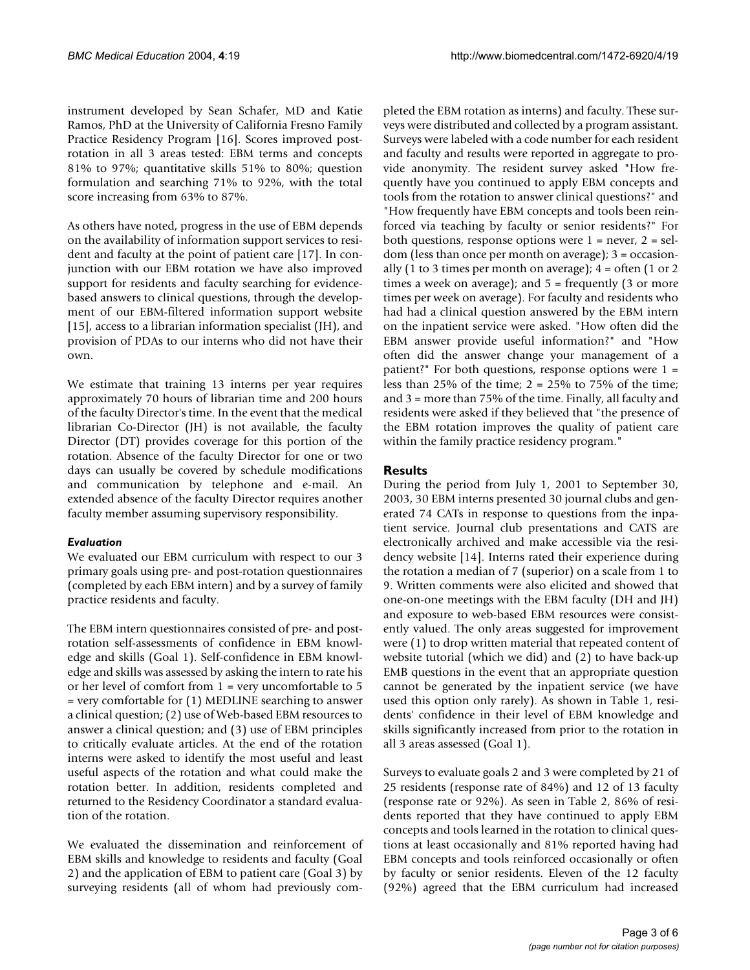instrument developed by Sean Schafer, MD and Katie Ramos, PhD at the University of California Fresno Family Practice Residency Program [16]. Scores improved postrotation in all 3 areas tested: EBM terms and concepts 81% to 97%; quantitative skills 51% to 80%; question formulation and searching 71% to 92%, with the total score increasing from 63% to 87%.

As others have noted, progress in the use of EBM depends on the availability of information support services to resident and faculty at the point of patient care [17]. In conjunction with our EBM rotation we have also improved support for residents and faculty searching for evidencebased answers to clinical questions, through the development of our EBM-filtered information support website [15], access to a librarian information specialist (JH), and provision of PDAs to our interns who did not have their own.

We estimate that training 13 interns per year requires approximately 70 hours of librarian time and 200 hours of the faculty Director's time. In the event that the medical librarian Co-Director (JH) is not available, the faculty Director (DT) provides coverage for this portion of the rotation. Absence of the faculty Director for one or two days can usually be covered by schedule modifications and communication by telephone and e-mail. An extended absence of the faculty Director requires another faculty member assuming supervisory responsibility.

## *Evaluation*

We evaluated our EBM curriculum with respect to our 3 primary goals using pre- and post-rotation questionnaires (completed by each EBM intern) and by a survey of family practice residents and faculty.

The EBM intern questionnaires consisted of pre- and postrotation self-assessments of confidence in EBM knowledge and skills (Goal 1). Self-confidence in EBM knowledge and skills was assessed by asking the intern to rate his or her level of comfort from 1 = very uncomfortable to 5 = very comfortable for (1) MEDLINE searching to answer a clinical question; (2) use of Web-based EBM resources to answer a clinical question; and (3) use of EBM principles to critically evaluate articles. At the end of the rotation interns were asked to identify the most useful and least useful aspects of the rotation and what could make the rotation better. In addition, residents completed and returned to the Residency Coordinator a standard evaluation of the rotation.

We evaluated the dissemination and reinforcement of EBM skills and knowledge to residents and faculty (Goal 2) and the application of EBM to patient care (Goal 3) by surveying residents (all of whom had previously completed the EBM rotation as interns) and faculty. These surveys were distributed and collected by a program assistant. Surveys were labeled with a code number for each resident and faculty and results were reported in aggregate to provide anonymity. The resident survey asked "How frequently have you continued to apply EBM concepts and tools from the rotation to answer clinical questions?" and "How frequently have EBM concepts and tools been reinforced via teaching by faculty or senior residents?" For both questions, response options were 1 = never, 2 = seldom (less than once per month on average); 3 = occasionally (1 to 3 times per month on average);  $4 =$  often (1 or 2 times a week on average); and  $5 =$  frequently (3 or more times per week on average). For faculty and residents who had had a clinical question answered by the EBM intern on the inpatient service were asked. "How often did the EBM answer provide useful information?" and "How often did the answer change your management of a patient?" For both questions, response options were 1 = less than 25% of the time;  $2 = 25%$  to 75% of the time; and 3 = more than 75% of the time. Finally, all faculty and residents were asked if they believed that "the presence of the EBM rotation improves the quality of patient care within the family practice residency program."

## **Results**

During the period from July 1, 2001 to September 30, 2003, 30 EBM interns presented 30 journal clubs and generated 74 CATs in response to questions from the inpatient service. Journal club presentations and CATS are electronically archived and make accessible via the residency website [14]. Interns rated their experience during the rotation a median of 7 (superior) on a scale from 1 to 9. Written comments were also elicited and showed that one-on-one meetings with the EBM faculty (DH and JH) and exposure to web-based EBM resources were consistently valued. The only areas suggested for improvement were (1) to drop written material that repeated content of website tutorial (which we did) and (2) to have back-up EMB questions in the event that an appropriate question cannot be generated by the inpatient service (we have used this option only rarely). As shown in Table [1,](#page-3-0) residents' confidence in their level of EBM knowledge and skills significantly increased from prior to the rotation in all 3 areas assessed (Goal 1).

Surveys to evaluate goals 2 and 3 were completed by 21 of 25 residents (response rate of 84%) and 12 of 13 faculty (response rate or 92%). As seen in Table [2](#page-3-1), 86% of residents reported that they have continued to apply EBM concepts and tools learned in the rotation to clinical questions at least occasionally and 81% reported having had EBM concepts and tools reinforced occasionally or often by faculty or senior residents. Eleven of the 12 faculty (92%) agreed that the EBM curriculum had increased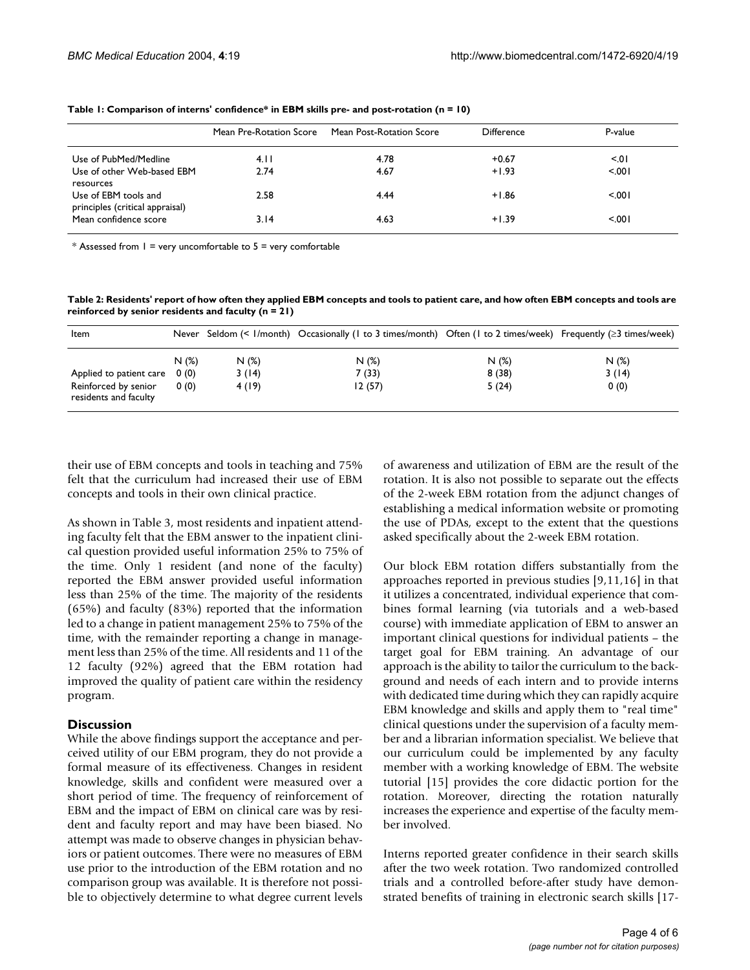|                                                         |      | Mean Pre-Rotation Score Mean Post-Rotation Score | <b>Difference</b> | P-value |
|---------------------------------------------------------|------|--------------------------------------------------|-------------------|---------|
| Use of PubMed/Medline                                   | 4.11 | 4.78                                             | $+0.67$           | 5.01    |
| Use of other Web-based EBM<br>resources                 | 2.74 | 4.67                                             | $+1.93$           | 5001    |
| Use of EBM tools and<br>principles (critical appraisal) | 2.58 | 4.44                                             | $+1.86$           | 5001    |
| Mean confidence score                                   | 3.14 | 4.63                                             | $+1.39$           | 5001    |

<span id="page-3-0"></span>**Table 1: Comparison of interns' confidence\* in EBM skills pre- and post-rotation (n = 10)**

\* Assessed from  $1 =$  very uncomfortable to  $5 =$  very comfortable

<span id="page-3-1"></span>**Table 2: Residents' report of how often they applied EBM concepts and tools to patient care, and how often EBM concepts and tools are reinforced by senior residents and faculty (n = 21)**

| Item                    |      |       | Never Seldom (< 1/month) Occasionally (1 to 3 times/month) Often (1 to 2 times/week) Frequently ( $\geq$ 3 times/week) |       |       |
|-------------------------|------|-------|------------------------------------------------------------------------------------------------------------------------|-------|-------|
| Applied to patient care | N(%) | N(%)  | N(%)                                                                                                                   | N(%)  | N(%)  |
| Reinforced by senior    | 0(0) | 3(14) | 7(33)                                                                                                                  | 8(38) | 3(14) |
| residents and faculty   | 0(0) | 4(19) | 12(57)                                                                                                                 | 5(24) | 0(0)  |

their use of EBM concepts and tools in teaching and 75% felt that the curriculum had increased their use of EBM concepts and tools in their own clinical practice.

As shown in Table [3](#page-4-0), most residents and inpatient attending faculty felt that the EBM answer to the inpatient clinical question provided useful information 25% to 75% of the time. Only 1 resident (and none of the faculty) reported the EBM answer provided useful information less than 25% of the time. The majority of the residents (65%) and faculty (83%) reported that the information led to a change in patient management 25% to 75% of the time, with the remainder reporting a change in management less than 25% of the time. All residents and 11 of the 12 faculty (92%) agreed that the EBM rotation had improved the quality of patient care within the residency program.

## **Discussion**

While the above findings support the acceptance and perceived utility of our EBM program, they do not provide a formal measure of its effectiveness. Changes in resident knowledge, skills and confident were measured over a short period of time. The frequency of reinforcement of EBM and the impact of EBM on clinical care was by resident and faculty report and may have been biased. No attempt was made to observe changes in physician behaviors or patient outcomes. There were no measures of EBM use prior to the introduction of the EBM rotation and no comparison group was available. It is therefore not possible to objectively determine to what degree current levels of awareness and utilization of EBM are the result of the rotation. It is also not possible to separate out the effects of the 2-week EBM rotation from the adjunct changes of establishing a medical information website or promoting the use of PDAs, except to the extent that the questions asked specifically about the 2-week EBM rotation.

Our block EBM rotation differs substantially from the approaches reported in previous studies [9,11,16] in that it utilizes a concentrated, individual experience that combines formal learning (via tutorials and a web-based course) with immediate application of EBM to answer an important clinical questions for individual patients – the target goal for EBM training. An advantage of our approach is the ability to tailor the curriculum to the background and needs of each intern and to provide interns with dedicated time during which they can rapidly acquire EBM knowledge and skills and apply them to "real time" clinical questions under the supervision of a faculty member and a librarian information specialist. We believe that our curriculum could be implemented by any faculty member with a working knowledge of EBM. The website tutorial [15] provides the core didactic portion for the rotation. Moreover, directing the rotation naturally increases the experience and expertise of the faculty member involved.

Interns reported greater confidence in their search skills after the two week rotation. Two randomized controlled trials and a controlled before-after study have demonstrated benefits of training in electronic search skills [17-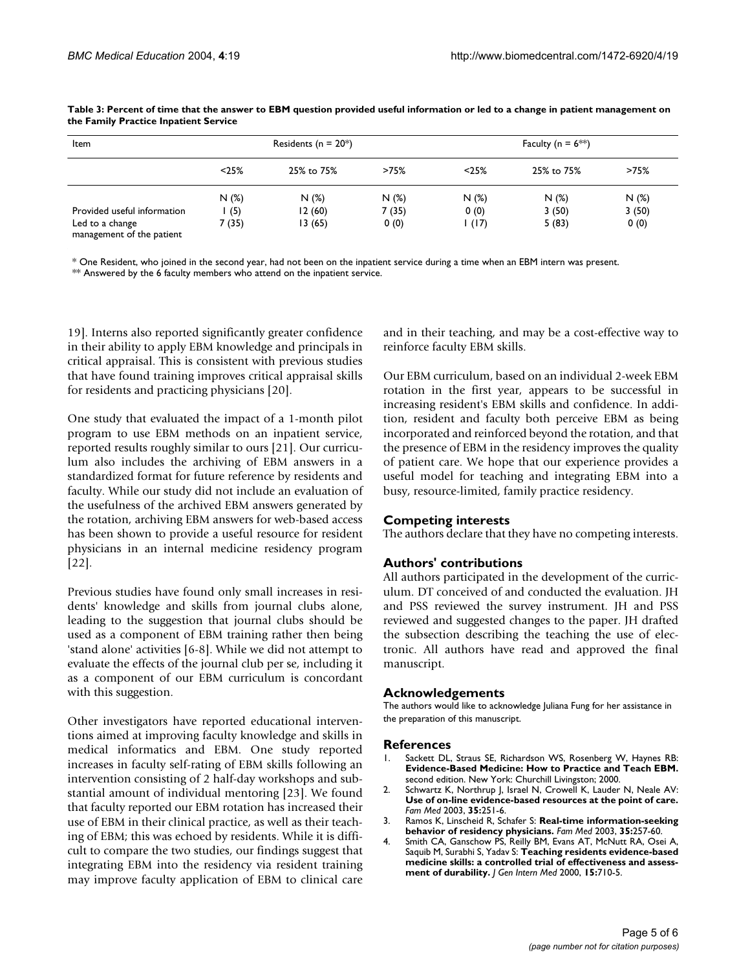| ltem                                         | Residents ( $n = 20$ *) |            |        | Faculty ( $n = 6$ **) |            |       |
|----------------------------------------------|-------------------------|------------|--------|-----------------------|------------|-------|
|                                              | < 25%                   | 25% to 75% | >75%   | < 25%                 | 25% to 75% | >75%  |
|                                              | N(%)                    | N(%)       | N(%)   | N(%)                  | N(%)       | N(%)  |
| Provided useful information                  | l (5)                   | 12(60)     | 7 (35) | 0(0)                  | 3(50)      | 3(50) |
| Led to a change<br>management of the patient | 7 (35)                  | 13(65)     | 0(0)   | (17)                  | 5(83)      | 0(0)  |

<span id="page-4-0"></span>**Table 3: Percent of time that the answer to EBM question provided useful information or led to a change in patient management on the Family Practice Inpatient Service**

\* One Resident, who joined in the second year, had not been on the inpatient service during a time when an EBM intern was present.

 $**$  Answered by the 6 faculty members who attend on the inpatient service.

19]. Interns also reported significantly greater confidence in their ability to apply EBM knowledge and principals in critical appraisal. This is consistent with previous studies that have found training improves critical appraisal skills for residents and practicing physicians [20].

One study that evaluated the impact of a 1-month pilot program to use EBM methods on an inpatient service, reported results roughly similar to ours [21]. Our curriculum also includes the archiving of EBM answers in a standardized format for future reference by residents and faculty. While our study did not include an evaluation of the usefulness of the archived EBM answers generated by the rotation, archiving EBM answers for web-based access has been shown to provide a useful resource for resident physicians in an internal medicine residency program [22].

Previous studies have found only small increases in residents' knowledge and skills from journal clubs alone, leading to the suggestion that journal clubs should be used as a component of EBM training rather then being 'stand alone' activities [6-8]. While we did not attempt to evaluate the effects of the journal club per se, including it as a component of our EBM curriculum is concordant with this suggestion.

Other investigators have reported educational interventions aimed at improving faculty knowledge and skills in medical informatics and EBM. One study reported increases in faculty self-rating of EBM skills following an intervention consisting of 2 half-day workshops and substantial amount of individual mentoring [23]. We found that faculty reported our EBM rotation has increased their use of EBM in their clinical practice, as well as their teaching of EBM; this was echoed by residents. While it is difficult to compare the two studies, our findings suggest that integrating EBM into the residency via resident training may improve faculty application of EBM to clinical care and in their teaching, and may be a cost-effective way to reinforce faculty EBM skills.

Our EBM curriculum, based on an individual 2-week EBM rotation in the first year, appears to be successful in increasing resident's EBM skills and confidence. In addition, resident and faculty both perceive EBM as being incorporated and reinforced beyond the rotation, and that the presence of EBM in the residency improves the quality of patient care. We hope that our experience provides a useful model for teaching and integrating EBM into a busy, resource-limited, family practice residency.

## **Competing interests**

The authors declare that they have no competing interests.

## **Authors' contributions**

All authors participated in the development of the curriculum. DT conceived of and conducted the evaluation. JH and PSS reviewed the survey instrument. JH and PSS reviewed and suggested changes to the paper. JH drafted the subsection describing the teaching the use of electronic. All authors have read and approved the final manuscript.

## **Acknowledgements**

The authors would like to acknowledge Juliana Fung for her assistance in the preparation of this manuscript.

## **References**

- 1. Sackett DL, Straus SE, Richardson WS, Rosenberg W, Haynes RB: **Evidence-Based Medicine: How to Practice and Teach EBM.** second edition. New York: Churchill Livingston; 2000.
- 2. Schwartz K, Northrup J, Israel N, Crowell K, Lauder N, Neale AV: **[Use of on-line evidence-based resources at the point of care.](http://www.ncbi.nlm.nih.gov/entrez/query.fcgi?cmd=Retrieve&db=PubMed&dopt=Abstract&list_uids=12729308)** *Fam Med* 2003, **35:**251-6.
- 3. Ramos K, Linscheid R, Schafer S: **[Real-time information-seeking](http://www.ncbi.nlm.nih.gov/entrez/query.fcgi?cmd=Retrieve&db=PubMed&dopt=Abstract&list_uids=12729309) [behavior of residency physicians.](http://www.ncbi.nlm.nih.gov/entrez/query.fcgi?cmd=Retrieve&db=PubMed&dopt=Abstract&list_uids=12729309)** *Fam Med* 2003, **35:**257-60.
- 4. Smith CA, Ganschow PS, Reilly BM, Evans AT, McNutt RA, Osei A, Saquib M, Surabhi S, Yadav S: **[Teaching residents evidence-based](http://www.ncbi.nlm.nih.gov/entrez/query.fcgi?cmd=Retrieve&db=PubMed&dopt=Abstract&list_uids=11089714) [medicine skills: a controlled trial of effectiveness and assess](http://www.ncbi.nlm.nih.gov/entrez/query.fcgi?cmd=Retrieve&db=PubMed&dopt=Abstract&list_uids=11089714)[ment of durability.](http://www.ncbi.nlm.nih.gov/entrez/query.fcgi?cmd=Retrieve&db=PubMed&dopt=Abstract&list_uids=11089714)** *J Gen Intern Med* 2000, **15:**710-5.